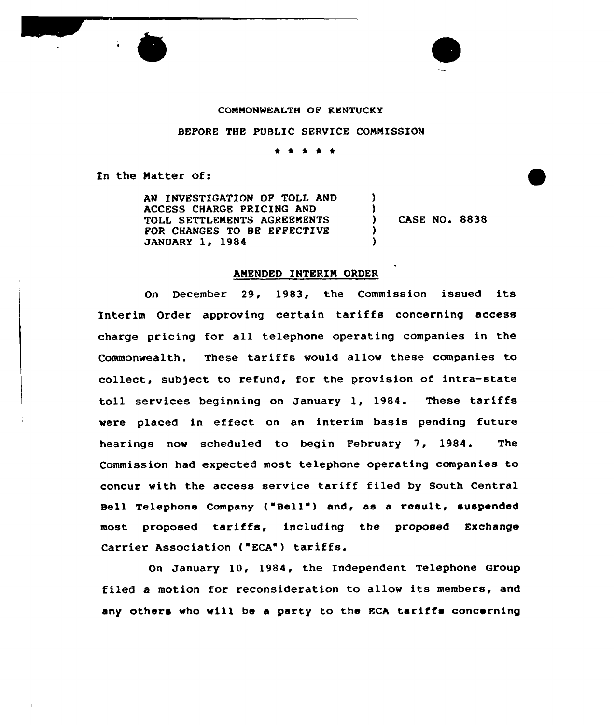

## CONMONNEALTH OF KENTUCKY

## BEFORE THE PUBLIC SERVICE COMMISSION

\* \* \* \*

In the Matter of:

AN INVESTIGATION OF TOLL AND ACCESS CHARGE PRICING AND TOLL SETTLEMENTS AGREEMENTS FOR CHANGES TO BE EFFECTIVE JANUARY 1, 1984

) CASE NO. 8838

) )

> ) )

## AMENDED INTERIM ORDER

On December 29, 1983, the Commission issued its Interim Order approving certain tariffs concerning access charge pricing for all telephone operating companies in the Commonwealth. These tariffs would allow these companies to collect, subject to refund, for the provision of intra-state toll services beginning on January 1, 1984. These tariffs were placed in effect on an interim basis pending future hearings now scheduled to begin February 7, 1984. The Commission had expected most telephone operating companies to concur with the access service tariff filed by South Central Bell Telephone Company ("Bell") and, as a result, suspended most proposed tariffs, including the proposed Exchange Carrier Association ("ECA") tariffs.

On January 10, 1984, the Independent Telephone Group filed <sup>a</sup> motion for reconsideration to allow its members, and any others who will be <sup>a</sup> party to the ECA tariffs concerning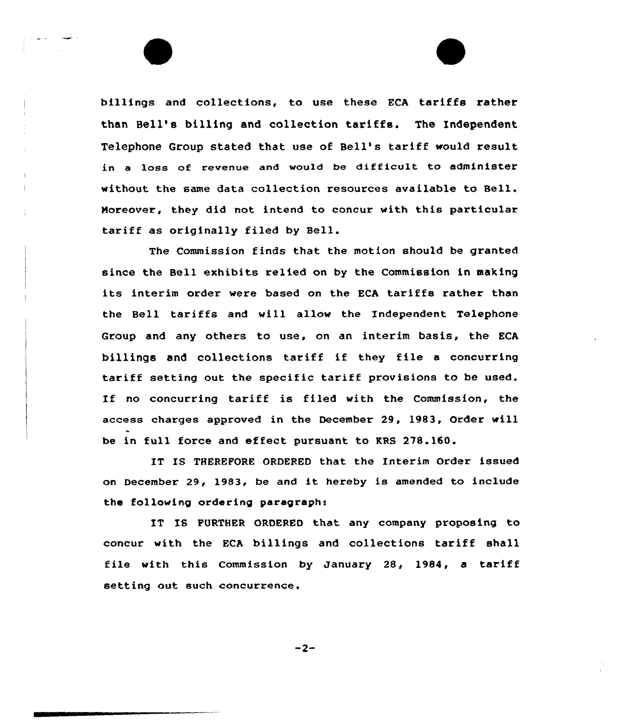billings and collections, to use these ECA tariffs rather than Bell's billing and collection tariffs. The Independent Telephone Group stated that use of Bell's tariff would result in a loss of revenue and would be difficult to administer without the same data collection resources available to Bell. Noreover, they did not intend to concur with this particular tariff as originally filed by Bell.

The Commission finds that the motion should be granted since the Bell exhibits relied on by the Commission in making its interim order vere based on the ECA tariffs rather than the Bell tariffs and will allow the Independent Telephone Group and any others to use, on an interim basis, the KCA billings and collections tariff if they file <sup>a</sup> concurring tariff setting out the specific tariff provisions to be used. If no concurring tariff is filed with the Commission, the access charges approved in the December 29, 1983, Order will be in full force and effect pursuant to RRS 278.160.

IT IS THEREFORE ORDERED that the Interim Order issued on December 29, 1983, be and it hereby is amended to include the following ordering paragraph:

IT IS FURTHER ORDERED that any company proposing to concur with the ECA billings and collections tariff shall file with this Commission by January 28, 1984, <sup>a</sup> tariff setting out such concurrence.

 $-2-$